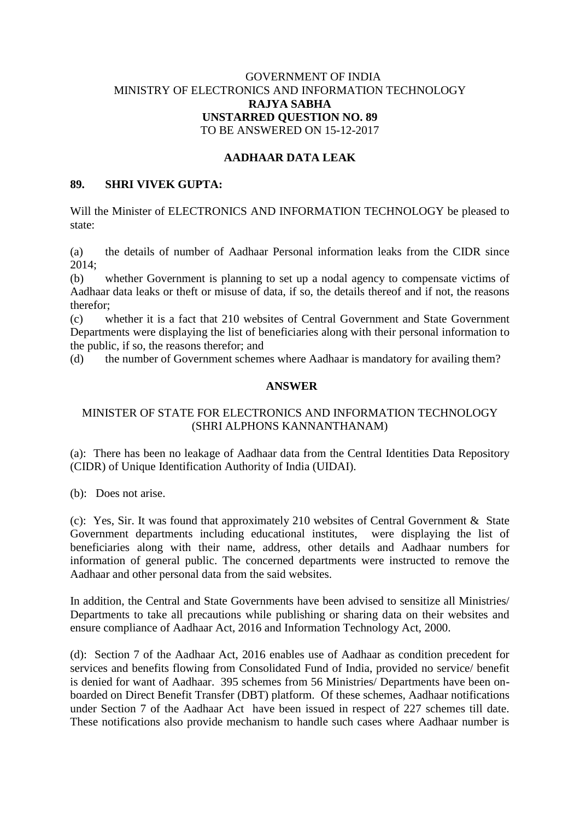# GOVERNMENT OF INDIA MINISTRY OF ELECTRONICS AND INFORMATION TECHNOLOGY **RAJYA SABHA UNSTARRED QUESTION NO. 89** TO BE ANSWERED ON 15-12-2017

### **AADHAAR DATA LEAK**

### **89. SHRI VIVEK GUPTA:**

Will the Minister of ELECTRONICS AND INFORMATION TECHNOLOGY be pleased to state:

(a) the details of number of Aadhaar Personal information leaks from the CIDR since 2014;

(b) whether Government is planning to set up a nodal agency to compensate victims of Aadhaar data leaks or theft or misuse of data, if so, the details thereof and if not, the reasons therefor;

(c) whether it is a fact that 210 websites of Central Government and State Government Departments were displaying the list of beneficiaries along with their personal information to the public, if so, the reasons therefor; and

(d) the number of Government schemes where Aadhaar is mandatory for availing them?

#### **ANSWER**

# MINISTER OF STATE FOR ELECTRONICS AND INFORMATION TECHNOLOGY (SHRI ALPHONS KANNANTHANAM)

(a): There has been no leakage of Aadhaar data from the Central Identities Data Repository (CIDR) of Unique Identification Authority of India (UIDAI).

(b): Does not arise.

(c): Yes, Sir. It was found that approximately 210 websites of Central Government & State Government departments including educational institutes, were displaying the list of beneficiaries along with their name, address, other details and Aadhaar numbers for information of general public. The concerned departments were instructed to remove the Aadhaar and other personal data from the said websites.

In addition, the Central and State Governments have been advised to sensitize all Ministries/ Departments to take all precautions while publishing or sharing data on their websites and ensure compliance of Aadhaar Act, 2016 and Information Technology Act, 2000.

(d): Section 7 of the Aadhaar Act, 2016 enables use of Aadhaar as condition precedent for services and benefits flowing from Consolidated Fund of India, provided no service/ benefit is denied for want of Aadhaar. 395 schemes from 56 Ministries/ Departments have been onboarded on Direct Benefit Transfer (DBT) platform. Of these schemes, Aadhaar notifications under Section 7 of the Aadhaar Act have been issued in respect of 227 schemes till date. These notifications also provide mechanism to handle such cases where Aadhaar number is